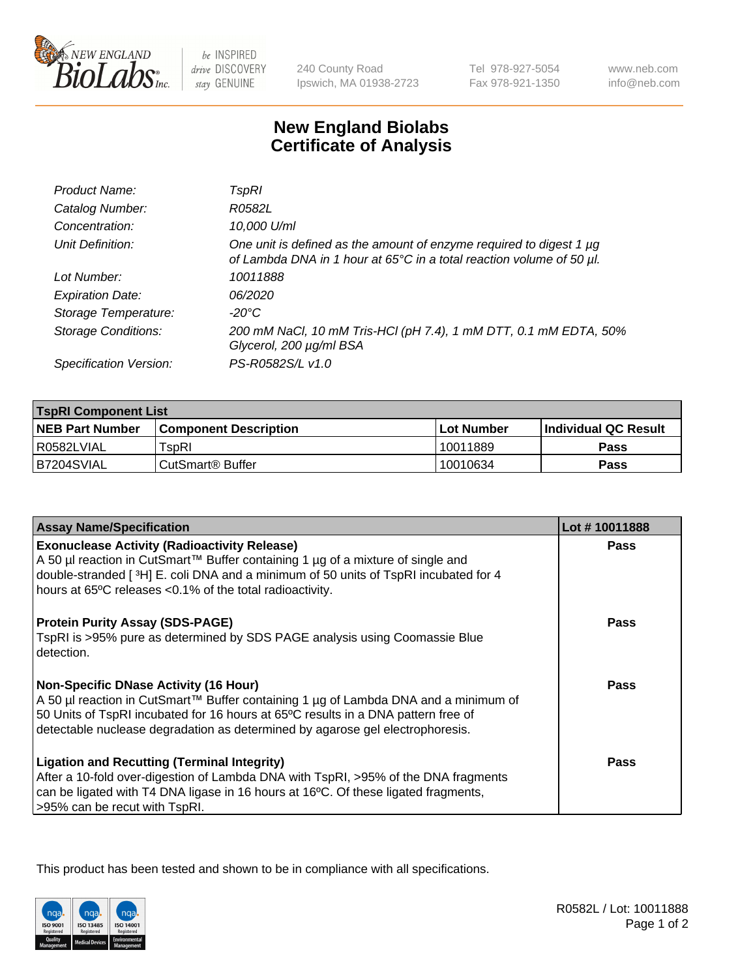

be INSPIRED drive DISCOVERY stay GENUINE

240 County Road Ipswich, MA 01938-2723 Tel 978-927-5054 Fax 978-921-1350

www.neb.com info@neb.com

## **New England Biolabs Certificate of Analysis**

| Product Name:              | TspRI                                                                                                                                       |
|----------------------------|---------------------------------------------------------------------------------------------------------------------------------------------|
| Catalog Number:            | R0582L                                                                                                                                      |
| Concentration:             | 10,000 U/ml                                                                                                                                 |
| Unit Definition:           | One unit is defined as the amount of enzyme required to digest 1 µg<br>of Lambda DNA in 1 hour at 65°C in a total reaction volume of 50 µl. |
| Lot Number:                | 10011888                                                                                                                                    |
| <b>Expiration Date:</b>    | 06/2020                                                                                                                                     |
| Storage Temperature:       | -20°C                                                                                                                                       |
| <b>Storage Conditions:</b> | 200 mM NaCl, 10 mM Tris-HCl (pH 7.4), 1 mM DTT, 0.1 mM EDTA, 50%<br>Glycerol, 200 µg/ml BSA                                                 |
| Specification Version:     | PS-R0582S/L v1.0                                                                                                                            |

| <b>TspRI Component List</b> |                              |              |                             |  |
|-----------------------------|------------------------------|--------------|-----------------------------|--|
| <b>NEB Part Number</b>      | <b>Component Description</b> | l Lot Number | <b>Individual QC Result</b> |  |
| I R0582LVIAL                | $\mathsf{r}_\mathsf{SDRI}$   | 10011889     | <b>Pass</b>                 |  |
| B7204SVIAL                  | l CutSmart® Buffer           | 10010634     | Pass                        |  |

| <b>Assay Name/Specification</b>                                                                                                                                                                                                        | Lot #10011888 |
|----------------------------------------------------------------------------------------------------------------------------------------------------------------------------------------------------------------------------------------|---------------|
| <b>Exonuclease Activity (Radioactivity Release)</b>                                                                                                                                                                                    | Pass          |
| A 50 µl reaction in CutSmart™ Buffer containing 1 µg of a mixture of single and<br>double-stranded [ $3H$ ] E. coli DNA and a minimum of 50 units of TspRI incubated for 4<br>hours at 65°C releases <0.1% of the total radioactivity. |               |
| <b>Protein Purity Assay (SDS-PAGE)</b>                                                                                                                                                                                                 | Pass          |
| TspRI is >95% pure as determined by SDS PAGE analysis using Coomassie Blue<br>detection.                                                                                                                                               |               |
| <b>Non-Specific DNase Activity (16 Hour)</b>                                                                                                                                                                                           | Pass          |
| A 50 µl reaction in CutSmart™ Buffer containing 1 µg of Lambda DNA and a minimum of<br>50 Units of TspRI incubated for 16 hours at 65°C results in a DNA pattern free of                                                               |               |
| detectable nuclease degradation as determined by agarose gel electrophoresis.                                                                                                                                                          |               |
| <b>Ligation and Recutting (Terminal Integrity)</b>                                                                                                                                                                                     | Pass          |
| After a 10-fold over-digestion of Lambda DNA with TspRI, >95% of the DNA fragments                                                                                                                                                     |               |
| can be ligated with T4 DNA ligase in 16 hours at 16°C. Of these ligated fragments,<br>>95% can be recut with TspRI.                                                                                                                    |               |

This product has been tested and shown to be in compliance with all specifications.